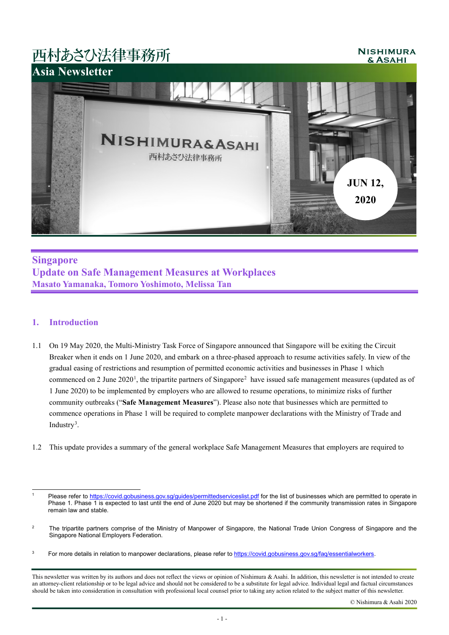# 西村あさひ法律事務所

#### **NISHIMURA** & ASAHI



# **Singapore Update on Safe Management Measures at Workplaces Masato Yamanaka, Tomoro Yoshimoto, Melissa Tan**

## **1. Introduction**

- 1.1 On 19 May 2020, the Multi-Ministry Task Force of Singapore announced that Singapore will be exiting the Circuit Breaker when it ends on 1 June 2020, and embark on a three-phased approach to resume activities safely. In view of the gradual easing of restrictions and resumption of permitted economic activities and businesses in Phase 1 which commenced on [2](#page-0-1) June  $2020^1$  $2020^1$ , the tripartite partners of Singapore<sup>2</sup> have issued safe management measures (updated as of 1 June 2020) to be implemented by employers who are allowed to resume operations, to minimize risks of further community outbreaks ("**Safe Management Measures**"). Please also note that businesses which are permitted to commence operations in Phase 1 will be required to complete manpower declarations with the Ministry of Trade and Industry<sup>[3](#page-0-2)</sup>.
- 1.2 This update provides a summary of the general workplace Safe Management Measures that employers are required to

<span id="page-0-0"></span> $\overline{a}$ Please refer to<https://covid.gobusiness.gov.sg/guides/permittedserviceslist.pdf> for the list of businesses which are permitted to operate in Phase 1. Phase 1 is expected to last until the end of June 2020 but may be shortened if the community transmission rates in Singapore remain law and stable.

<span id="page-0-1"></span><sup>&</sup>lt;sup>2</sup> The tripartite partners comprise of the Ministry of Manpower of Singapore, the National Trade Union Congress of Singapore and the Singapore National Employers Federation.

<span id="page-0-2"></span><sup>&</sup>lt;sup>3</sup> For more details in relation to manpower declarations, please refer t[o https://covid.gobusiness.gov.sg/faq/essentialworkers.](https://covid.gobusiness.gov.sg/faq/essentialworkers)

This newsletter was written by its authors and does not reflect the views or opinion of Nishimura & Asahi. In addition, this newsletter is not intended to create an attorney-client relationship or to be legal advice and should not be considered to be a substitute for legal advice. Individual legal and factual circumstances should be taken into consideration in consultation with professional local counsel prior to taking any action related to the subject matter of this newsletter.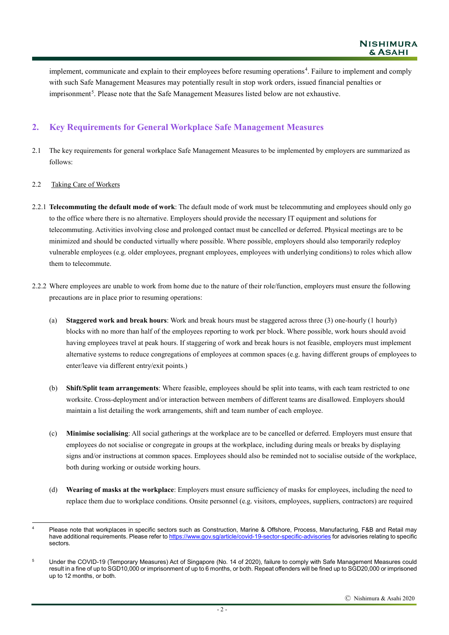implement, communicate and explain to their employees before resuming operations<sup>[4](#page-1-0)</sup>. Failure to implement and comply with such Safe Management Measures may potentially result in stop work orders, issued financial penalties or imprisonment<sup>[5](#page-1-1)</sup>. Please note that the Safe Management Measures listed below are not exhaustive.

# **2. Key Requirements for General Workplace Safe Management Measures**

2.1 The key requirements for general workplace Safe Management Measures to be implemented by employers are summarized as follows:

### 2.2 Taking Care of Workers

- 2.2.1 **Telecommuting the default mode of work**: The default mode of work must be telecommuting and employees should only go to the office where there is no alternative. Employers should provide the necessary IT equipment and solutions for telecommuting. Activities involving close and prolonged contact must be cancelled or deferred. Physical meetings are to be minimized and should be conducted virtually where possible. Where possible, employers should also temporarily redeploy vulnerable employees (e.g. older employees, pregnant employees, employees with underlying conditions) to roles which allow them to telecommute.
- 2.2.2 Where employees are unable to work from home due to the nature of their role/function, employers must ensure the following precautions are in place prior to resuming operations:
	- (a) **Staggered work and break hours**: Work and break hours must be staggered across three (3) one-hourly (1 hourly) blocks with no more than half of the employees reporting to work per block. Where possible, work hours should avoid having employees travel at peak hours. If staggering of work and break hours is not feasible, employers must implement alternative systems to reduce congregations of employees at common spaces (e.g. having different groups of employees to enter/leave via different entry/exit points.)
	- (b) **Shift/Split team arrangements**: Where feasible, employees should be split into teams, with each team restricted to one worksite. Cross-deployment and/or interaction between members of different teams are disallowed. Employers should maintain a list detailing the work arrangements, shift and team number of each employee.
	- (c) **Minimise socialising**: All social gatherings at the workplace are to be cancelled or deferred. Employers must ensure that employees do not socialise or congregate in groups at the workplace, including during meals or breaks by displaying signs and/or instructions at common spaces. Employees should also be reminded not to socialise outside of the workplace, both during working or outside working hours.
	- (d) **Wearing of masks at the workplace**: Employers must ensure sufficiency of masks for employees, including the need to replace them due to workplace conditions. Onsite personnel (e.g. visitors, employees, suppliers, contractors) are required

<span id="page-1-0"></span> $\overline{a}$ <sup>4</sup> Please note that workplaces in specific sectors such as Construction, Marine & Offshore, Process, Manufacturing, F&B and Retail may have additional requirements. Please refer t[o https://www.gov.sg/article/covid-19-sector-specific-advisories](https://www.gov.sg/article/covid-19-sector-specific-advisories) for advisories relating to specific sectors.

<span id="page-1-1"></span><sup>&</sup>lt;sup>5</sup> Under the COVID-19 (Temporary Measures) Act of Singapore (No. 14 of 2020), failure to comply with Safe Management Measures could result in a fine of up to SGD10,000 or imprisonment of up to 6 months, or both. Repeat offenders will be fined up to SGD20,000 or imprisoned up to 12 months, or both.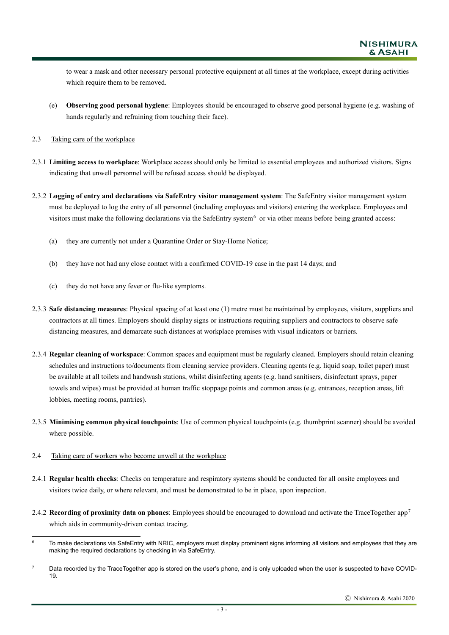to wear a mask and other necessary personal protective equipment at all times at the workplace, except during activities which require them to be removed.

- (e) **Observing good personal hygiene**: Employees should be encouraged to observe good personal hygiene (e.g. washing of hands regularly and refraining from touching their face).
- 2.3 Taking care of the workplace
- 2.3.1 **Limiting access to workplace**: Workplace access should only be limited to essential employees and authorized visitors. Signs indicating that unwell personnel will be refused access should be displayed.
- 2.3.2 **Logging of entry and declarations via SafeEntry visitor management system**: The SafeEntry visitor management system must be deployed to log the entry of all personnel (including employees and visitors) entering the workplace. Employees and visitors must make the following declarations via the SafeEntry system<sup>[6](#page-2-0)</sup> or via other means before being granted access:
	- (a) they are currently not under a Quarantine Order or Stay-Home Notice;
	- (b) they have not had any close contact with a confirmed COVID-19 case in the past 14 days; and
	- (c) they do not have any fever or flu-like symptoms.
- 2.3.3 **Safe distancing measures**: Physical spacing of at least one (1) metre must be maintained by employees, visitors, suppliers and contractors at all times. Employers should display signs or instructions requiring suppliers and contractors to observe safe distancing measures, and demarcate such distances at workplace premises with visual indicators or barriers.
- 2.3.4 **Regular cleaning of workspace**: Common spaces and equipment must be regularly cleaned. Employers should retain cleaning schedules and instructions to/documents from cleaning service providers. Cleaning agents (e.g. liquid soap, toilet paper) must be available at all toilets and handwash stations, whilst disinfecting agents (e.g. hand sanitisers, disinfectant sprays, paper towels and wipes) must be provided at human traffic stoppage points and common areas (e.g. entrances, reception areas, lift lobbies, meeting rooms, pantries).
- 2.3.5 **Minimising common physical touchpoints**: Use of common physical touchpoints (e.g. thumbprint scanner) should be avoided where possible.
- 2.4 Taking care of workers who become unwell at the workplace
- 2.4.1 **Regular health checks**: Checks on temperature and respiratory systems should be conducted for all onsite employees and visitors twice daily, or where relevant, and must be demonstrated to be in place, upon inspection.
- 2.4.2 **Recording of proximity data on phones**: Employees should be encouraged to download and activate the TraceTogether app[7](#page-2-1) which aids in community-driven contact tracing.

<span id="page-2-0"></span> $6\phantom{a}$ To make declarations via SafeEntry with NRIC, employers must display prominent signs informing all visitors and employees that they are making the required declarations by checking in via SafeEntry.

<span id="page-2-1"></span><sup>&</sup>lt;sup>7</sup> Data recorded by the TraceTogether app is stored on the user's phone, and is only uploaded when the user is suspected to have COVID-19.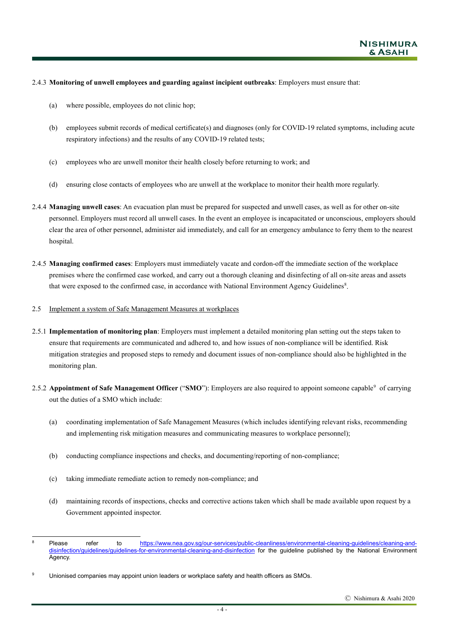#### 2.4.3 **Monitoring of unwell employees and guarding against incipient outbreaks**: Employers must ensure that:

- (a) where possible, employees do not clinic hop;
- (b) employees submit records of medical certificate(s) and diagnoses (only for COVID-19 related symptoms, including acute respiratory infections) and the results of any COVID-19 related tests;
- (c) employees who are unwell monitor their health closely before returning to work; and
- (d) ensuring close contacts of employees who are unwell at the workplace to monitor their health more regularly.
- 2.4.4 **Managing unwell cases**: An evacuation plan must be prepared for suspected and unwell cases, as well as for other on-site personnel. Employers must record all unwell cases. In the event an employee is incapacitated or unconscious, employers should clear the area of other personnel, administer aid immediately, and call for an emergency ambulance to ferry them to the nearest hospital.
- 2.4.5 **Managing confirmed cases**: Employers must immediately vacate and cordon-off the immediate section of the workplace premises where the confirmed case worked, and carry out a thorough cleaning and disinfecting of all on-site areas and assets that were exposed to the confirmed case, in accordance with National Environment Agency Guidelines<sup>[8](#page-3-0)</sup>.
- 2.5 Implement a system of Safe Management Measures at workplaces
- 2.5.1 **Implementation of monitoring plan**: Employers must implement a detailed monitoring plan setting out the steps taken to ensure that requirements are communicated and adhered to, and how issues of non-compliance will be identified. Risk mitigation strategies and proposed steps to remedy and document issues of non-compliance should also be highlighted in the monitoring plan.
- 2.5.2 **Appointment of Safe Management Officer** ("SMO"): Employers are also required to appoint someone capable<sup>[9](#page-3-1)</sup> of carrying out the duties of a SMO which include:
	- (a) coordinating implementation of Safe Management Measures (which includes identifying relevant risks, recommending and implementing risk mitigation measures and communicating measures to workplace personnel);
	- (b) conducting compliance inspections and checks, and documenting/reporting of non-compliance;
	- (c) taking immediate remediate action to remedy non-compliance; and
	- (d) maintaining records of inspections, checks and corrective actions taken which shall be made available upon request by a Government appointed inspector.

<span id="page-3-0"></span> $\overline{8}$ <sup>8</sup> Please refer to [https://www.nea.gov.sg/our-services/public-cleanliness/environmental-cleaning-guidelines/cleaning-and](https://www.nea.gov.sg/our-services/public-cleanliness/environmental-cleaning-guidelines/cleaning-and-disinfection/guidelines/guidelines-for-environmental-cleaning-and-disinfection)[disinfection/guidelines/guidelines-for-environmental-cleaning-and-disinfection](https://www.nea.gov.sg/our-services/public-cleanliness/environmental-cleaning-guidelines/cleaning-and-disinfection/guidelines/guidelines-for-environmental-cleaning-and-disinfection) for the guideline published by the National Environment Agency.

<span id="page-3-1"></span><sup>9</sup> Unionised companies may appoint union leaders or workplace safety and health officers as SMOs.